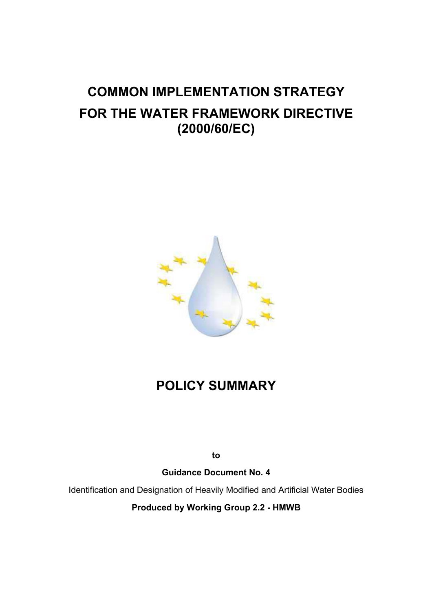# **COMMON IMPLEMENTATION STRATEGY FOR THE WATER FRAMEWORK DIRECTIVE (2000/60/EC)**



## **POLICY SUMMARY**

**to** 

**Guidance Document No. 4** 

Identification and Designation of Heavily Modified and Artificial Water Bodies

**Produced by Working Group 2.2 - HMWB**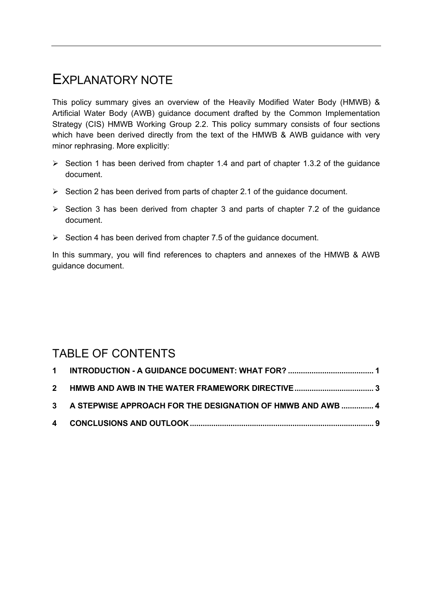## EXPI ANATORY NOTE

This policy summary gives an overview of the Heavily Modified Water Body (HMWB) & Artificial Water Body (AWB) guidance document drafted by the Common Implementation Strategy (CIS) HMWB Working Group 2.2. This policy summary consists of four sections which have been derived directly from the text of the HMWB & AWB guidance with very minor rephrasing. More explicitly:

- $\triangleright$  Section 1 has been derived from chapter 1.4 and part of chapter 1.3.2 of the guidance document.
- $\triangleright$  Section 2 has been derived from parts of chapter 2.1 of the guidance document.
- $\triangleright$  Section 3 has been derived from chapter 3 and parts of chapter 7.2 of the guidance document.
- $\triangleright$  Section 4 has been derived from chapter 7.5 of the guidance document.

In this summary, you will find references to chapters and annexes of the HMWB & AWB guidance document.

## TABLE OF CONTENTS

| 3 A STEPWISE APPROACH FOR THE DESIGNATION OF HMWB AND AWB  4 |  |
|--------------------------------------------------------------|--|
|                                                              |  |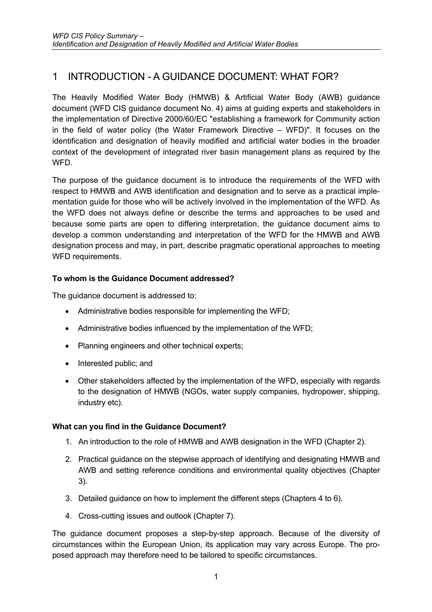### <span id="page-2-0"></span>1 INTRODUCTION - A GUIDANCE DOCUMENT: WHAT FOR?

The Heavily Modified Water Body (HMWB) & Artificial Water Body (AWB) guidance document (WFD CIS guidance document No. 4) aims at guiding experts and stakeholders in the implementation of Directive 2000/60/EC "establishing a framework for Community action in the field of water policy (the Water Framework Directive – WFD)". It focuses on the identification and designation of heavily modified and artificial water bodies in the broader context of the development of integrated river basin management plans as required by the WFD.

The purpose of the guidance document is to introduce the requirements of the WFD with respect to HMWB and AWB identification and designation and to serve as a practical implementation guide for those who will be actively involved in the implementation of the WFD. As the WFD does not always define or describe the terms and approaches to be used and because some parts are open to differing interpretation, the guidance document aims to develop a common understanding and interpretation of the WFD for the HMWB and AWB designation process and may, in part, describe pragmatic operational approaches to meeting WFD requirements.

#### **To whom is the Guidance Document addressed?**

The guidance document is addressed to:

- Administrative bodies responsible for implementing the WFD;
- Administrative bodies influenced by the implementation of the WFD;
- Planning engineers and other technical experts;
- Interested public; and
- Other stakeholders affected by the implementation of the WFD, especially with regards to the designation of HMWB (NGOs, water supply companies, hydropower, shipping, industry etc).

#### **What can you find in the Guidance Document?**

- 1. An introduction to the role of HMWB and AWB designation in the WFD (Chapter 2).
- 2. Practical guidance on the stepwise approach of identifying and designating HMWB and AWB and setting reference conditions and environmental quality objectives (Chapter 3).
- 3. Detailed guidance on how to implement the different steps (Chapters 4 to 6).
- 4. Cross-cutting issues and outlook (Chapter 7).

The guidance document proposes a step-by-step approach. Because of the diversity of circumstances within the European Union, its application may vary across Europe. The proposed approach may therefore need to be tailored to specific circumstances.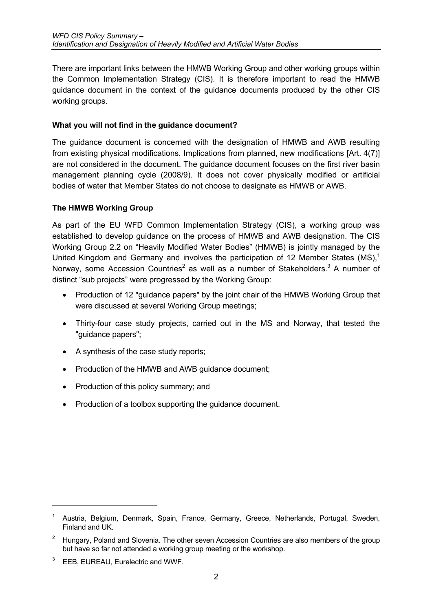There are important links between the HMWB Working Group and other working groups within the Common Implementation Strategy (CIS). It is therefore important to read the HMWB guidance document in the context of the guidance documents produced by the other CIS working groups.

#### **What you will not find in the guidance document?**

The guidance document is concerned with the designation of HMWB and AWB resulting from existing physical modifications. Implications from planned, new modifications [Art. 4(7)] are not considered in the document. The guidance document focuses on the first river basin management planning cycle (2008/9). It does not cover physically modified or artificial bodies of water that Member States do not choose to designate as HMWB or AWB.

#### **The HMWB Working Group**

As part of the EU WFD Common Implementation Strategy (CIS), a working group was established to develop guidance on the process of HMWB and AWB designation. The CIS Working Group 2.2 on "Heavily Modified Water Bodies" (HMWB) is jointly managed by the United Kingdom and Germany and involves the participation of [1](#page-3-0)2 Member States  $(MS)<sup>1</sup>$ Norway, some Accession Countries<sup>[2](#page-3-1)</sup> as well as a number of Stakeholders.<sup>3</sup> A number of distinct "sub projects" were progressed by the Working Group:

- Production of 12 "guidance papers" by the joint chair of the HMWB Working Group that were discussed at several Working Group meetings;
- Thirty-four case study projects, carried out in the MS and Norway, that tested the "guidance papers";
- A synthesis of the case study reports;
- Production of the HMWB and AWB guidance document;
- Production of this policy summary; and
- Production of a toolbox supporting the guidance document.

<span id="page-3-0"></span><sup>&</sup>lt;sup>1</sup> Austria, Belgium, Denmark, Spain, France, Germany, Greece, Netherlands, Portugal, Sweden, Finland and UK.

<span id="page-3-1"></span><sup>&</sup>lt;sup>2</sup> Hungary, Poland and Slovenia. The other seven Accession Countries are also members of the group but have so far not attended a working group meeting or the workshop.

<span id="page-3-2"></span>EEB, EUREAU, Eurelectric and WWF.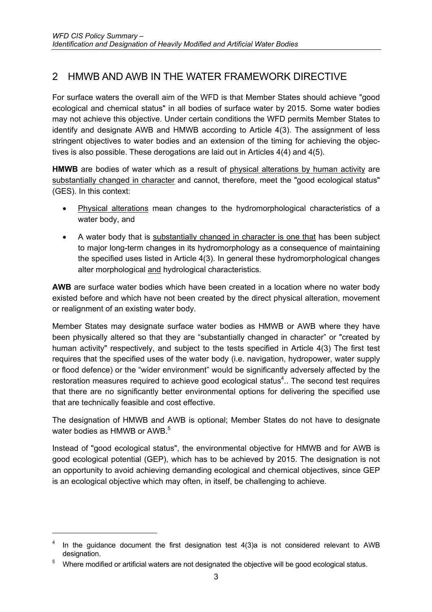## <span id="page-4-0"></span>2 HMWB AND AWB IN THE WATER FRAMEWORK DIRECTIVE

For surface waters the overall aim of the WFD is that Member States should achieve "good ecological and chemical status" in all bodies of surface water by 2015. Some water bodies may not achieve this objective. Under certain conditions the WFD permits Member States to identify and designate AWB and HMWB according to Article 4(3). The assignment of less stringent objectives to water bodies and an extension of the timing for achieving the objectives is also possible. These derogations are laid out in Articles 4(4) and 4(5).

**HMWB** are bodies of water which as a result of physical alterations by human activity are substantially changed in character and cannot, therefore, meet the "good ecological status" (GES). In this context:

- Physical alterations mean changes to the hydromorphological characteristics of a water body, and
- A water body that is substantially changed in character is one that has been subject to major long-term changes in its hydromorphology as a consequence of maintaining the specified uses listed in Article 4(3). In general these hydromorphological changes alter morphological and hydrological characteristics.

**AWB** are surface water bodies which have been created in a location where no water body existed before and which have not been created by the direct physical alteration, movement or realignment of an existing water body.

Member States may designate surface water bodies as HMWB or AWB where they have been physically altered so that they are "substantially changed in character" or "created by human activity" respectively, and subject to the tests specified in Article 4(3) The first test requires that the specified uses of the water body (i.e. navigation, hydropower, water supply or flood defence) or the "wider environment" would be significantly adversely affected by the restoration measures required to achieve good ecological status<sup>4</sup>.. The second test requires that there are no significantly better environmental options for delivering the specified use that are technically feasible and cost effective.

The designation of HMWB and AWB is optional; Member States do not have to designate water bodies as HMWB or AWB.<sup>[5](#page-4-2)</sup>

Instead of "good ecological status", the environmental objective for HMWB and for AWB is good ecological potential (GEP), which has to be achieved by 2015. The designation is not an opportunity to avoid achieving demanding ecological and chemical objectives, since GEP is an ecological objective which may often, in itself, be challenging to achieve.

<span id="page-4-1"></span>In the guidance document the first designation test 4(3)a is not considered relevant to AWB designation.

<span id="page-4-2"></span><sup>5</sup> Where modified or artificial waters are not designated the objective will be good ecological status.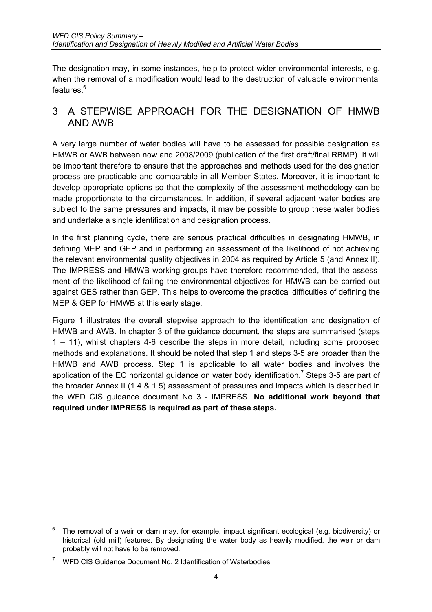<span id="page-5-0"></span>The designation may, in some instances, help to protect wider environmental interests, e.g. when the removal of a modification would lead to the destruction of valuable environmental features.<sup>[6](#page-5-1)</sup>

### 3 A STEPWISE APPROACH FOR THE DESIGNATION OF HMWB AND AWB

A very large number of water bodies will have to be assessed for possible designation as HMWB or AWB between now and 2008/2009 (publication of the first draft/final RBMP). It will be important therefore to ensure that the approaches and methods used for the designation process are practicable and comparable in all Member States. Moreover, it is important to develop appropriate options so that the complexity of the assessment methodology can be made proportionate to the circumstances. In addition, if several adjacent water bodies are subject to the same pressures and impacts, it may be possible to group these water bodies and undertake a single identification and designation process.

In the first planning cycle, there are serious practical difficulties in designating HMWB, in defining MEP and GEP and in performing an assessment of the likelihood of not achieving the relevant environmental quality objectives in 2004 as required by Article 5 (and Annex II). The IMPRESS and HMWB working groups have therefore recommended, that the assessment of the likelihood of failing the environmental objectives for HMWB can be carried out against GES rather than GEP. This helps to overcome the practical difficulties of defining the MEP & GEP for HMWB at this early stage.

[Figure 1](#page-6-0) illustrates the overall stepwise approach to the identification and designation of HMWB and AWB. In chapter 3 of the guidance document, the steps are summarised (steps 1 – 11), whilst chapters 4-6 describe the steps in more detail, including some proposed methods and explanations. It should be noted that step 1 and steps 3-5 are broader than the HMWB and AWB process. Step 1 is applicable to all water bodies and involves the application of the EC horizontal guidance on water body identification.<sup>[7](#page-5-2)</sup> Steps 3-5 are part of the broader Annex II (1.4 & 1.5) assessment of pressures and impacts which is described in the WFD CIS guidance document No 3 - IMPRESS. **No additional work beyond that required under IMPRESS is required as part of these steps.**

<span id="page-5-1"></span> $6$  The removal of a weir or dam may, for example, impact significant ecological (e.g. biodiversity) or historical (old mill) features. By designating the water body as heavily modified, the weir or dam probably will not have to be removed.

<span id="page-5-2"></span><sup>7</sup> WFD CIS Guidance Document No. 2 Identification of Waterbodies.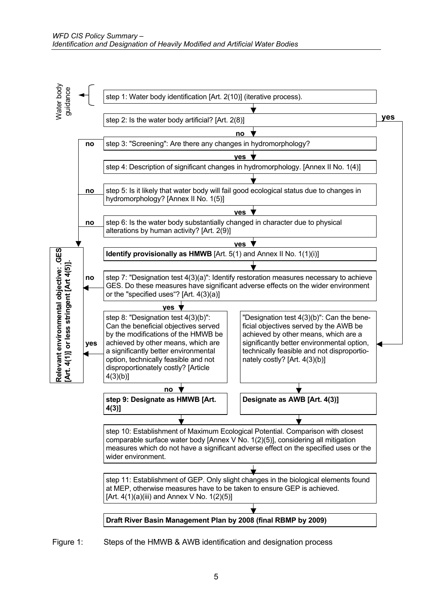

<span id="page-6-0"></span>Figure 1: Steps of the HMWB & AWB identification and designation process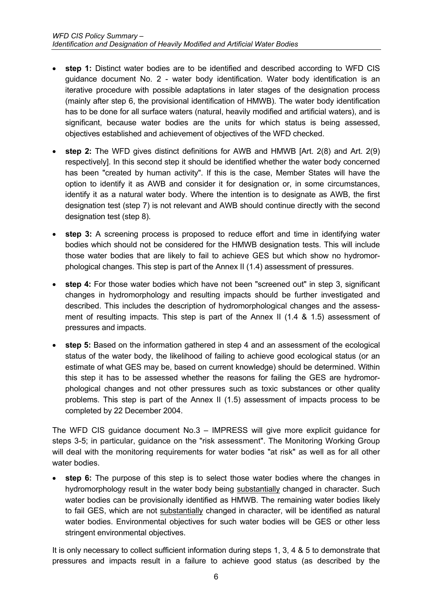- **step 1:** Distinct water bodies are to be identified and described according to WFD CIS guidance document No. 2 - water body identification. Water body identification is an iterative procedure with possible adaptations in later stages of the designation process (mainly after step 6, the provisional identification of HMWB). The water body identification has to be done for all surface waters (natural, heavily modified and artificial waters), and is significant, because water bodies are the units for which status is being assessed, objectives established and achievement of objectives of the WFD checked.
- **step 2:** The WFD gives distinct definitions for AWB and HMWB [Art. 2(8) and Art. 2(9) respectively]. In this second step it should be identified whether the water body concerned has been "created by human activity". If this is the case, Member States will have the option to identify it as AWB and consider it for designation or, in some circumstances, identify it as a natural water body. Where the intention is to designate as AWB, the first designation test (step 7) is not relevant and AWB should continue directly with the second designation test (step 8).
- **step 3:** A screening process is proposed to reduce effort and time in identifying water bodies which should not be considered for the HMWB designation tests. This will include those water bodies that are likely to fail to achieve GES but which show no hydromorphological changes. This step is part of the Annex II (1.4) assessment of pressures.
- **step 4:** For those water bodies which have not been "screened out" in step 3, significant changes in hydromorphology and resulting impacts should be further investigated and described. This includes the description of hydromorphological changes and the assessment of resulting impacts. This step is part of the Annex II (1.4 & 1.5) assessment of pressures and impacts.
- **step 5:** Based on the information gathered in step 4 and an assessment of the ecological status of the water body, the likelihood of failing to achieve good ecological status (or an estimate of what GES may be, based on current knowledge) should be determined. Within this step it has to be assessed whether the reasons for failing the GES are hydromorphological changes and not other pressures such as toxic substances or other quality problems. This step is part of the Annex II (1.5) assessment of impacts process to be completed by 22 December 2004.

The WFD CIS guidance document No.3 – IMPRESS will give more explicit guidance for steps 3-5; in particular, guidance on the "risk assessment". The Monitoring Working Group will deal with the monitoring requirements for water bodies "at risk" as well as for all other water bodies.

**step 6:** The purpose of this step is to select those water bodies where the changes in hydromorphology result in the water body being substantially changed in character. Such water bodies can be provisionally identified as HMWB. The remaining water bodies likely to fail GES, which are not substantially changed in character, will be identified as natural water bodies. Environmental objectives for such water bodies will be GES or other less stringent environmental objectives.

It is only necessary to collect sufficient information during steps 1, 3, 4 & 5 to demonstrate that pressures and impacts result in a failure to achieve good status (as described by the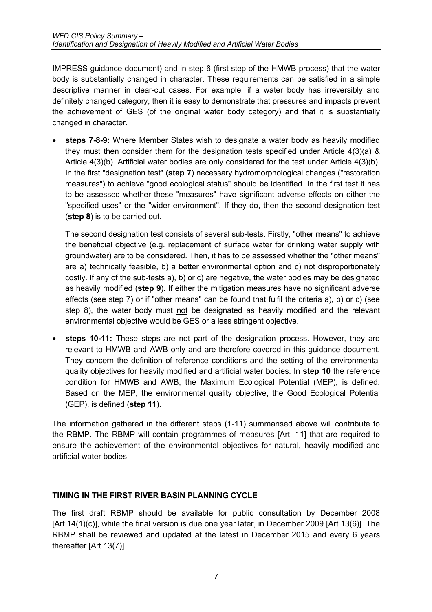IMPRESS guidance document) and in step 6 (first step of the HMWB process) that the water body is substantially changed in character. These requirements can be satisfied in a simple descriptive manner in clear-cut cases. For example, if a water body has irreversibly and definitely changed category, then it is easy to demonstrate that pressures and impacts prevent the achievement of GES (of the original water body category) and that it is substantially changed in character.

• **steps 7-8-9:** Where Member States wish to designate a water body as heavily modified they must then consider them for the designation tests specified under Article 4(3)(a) & Article 4(3)(b). Artificial water bodies are only considered for the test under Article 4(3)(b). In the first "designation test" (**step 7**) necessary hydromorphological changes ("restoration measures") to achieve "good ecological status" should be identified. In the first test it has to be assessed whether these "measures" have significant adverse effects on either the "specified uses" or the "wider environment". If they do, then the second designation test (**step 8**) is to be carried out.

The second designation test consists of several sub-tests. Firstly, "other means" to achieve the beneficial objective (e.g. replacement of surface water for drinking water supply with groundwater) are to be considered. Then, it has to be assessed whether the "other means" are a) technically feasible, b) a better environmental option and c) not disproportionately costly. If any of the sub-tests a), b) or c) are negative, the water bodies may be designated as heavily modified (**step 9**). If either the mitigation measures have no significant adverse effects (see step 7) or if "other means" can be found that fulfil the criteria a), b) or c) (see step 8), the water body must not be designated as heavily modified and the relevant environmental objective would be GES or a less stringent objective.

• **steps 10-11:** These steps are not part of the designation process. However, they are relevant to HMWB and AWB only and are therefore covered in this guidance document. They concern the definition of reference conditions and the setting of the environmental quality objectives for heavily modified and artificial water bodies. In **step 10** the reference condition for HMWB and AWB, the Maximum Ecological Potential (MEP), is defined. Based on the MEP, the environmental quality objective, the Good Ecological Potential (GEP), is defined (**step 11**).

The information gathered in the different steps (1-11) summarised above will contribute to the RBMP. The RBMP will contain programmes of measures [Art. 11] that are required to ensure the achievement of the environmental objectives for natural, heavily modified and artificial water bodies.

#### **TIMING IN THE FIRST RIVER BASIN PLANNING CYCLE**

The first draft RBMP should be available for public consultation by December 2008 [Art.14(1)(c)], while the final version is due one year later, in December 2009 [Art.13(6)]. The RBMP shall be reviewed and updated at the latest in December 2015 and every 6 years thereafter [Art.13(7)].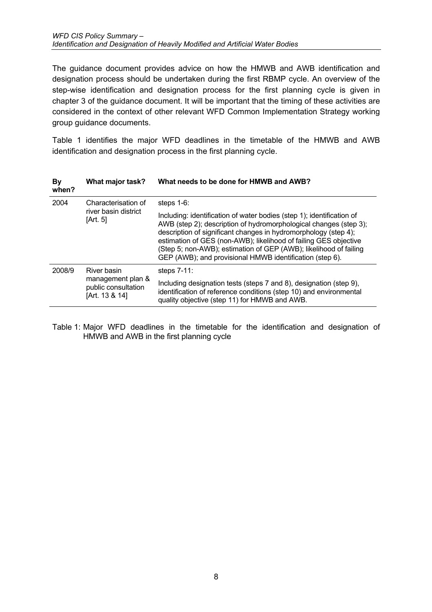The guidance document provides advice on how the HMWB and AWB identification and designation process should be undertaken during the first RBMP cycle. An overview of the step-wise identification and designation process for the first planning cycle is given in chapter 3 of the guidance document. It will be important that the timing of these activities are considered in the context of other relevant WFD Common Implementation Strategy working group guidance documents.

[Table 1](#page-9-0) identifies the major WFD deadlines in the timetable of the HMWB and AWB identification and designation process in the first planning cycle.

| <b>By</b><br>when? | What major task?                                                          | What needs to be done for HMWB and AWB?                                                                                                                                                                                                                                                                                                                                                                            |
|--------------------|---------------------------------------------------------------------------|--------------------------------------------------------------------------------------------------------------------------------------------------------------------------------------------------------------------------------------------------------------------------------------------------------------------------------------------------------------------------------------------------------------------|
| 2004               | Characterisation of<br>river basin district<br>[Art. 5]                   | steps $1-6$ :                                                                                                                                                                                                                                                                                                                                                                                                      |
|                    |                                                                           | Including: identification of water bodies (step 1); identification of<br>AWB (step 2); description of hydromorphological changes (step 3);<br>description of significant changes in hydromorphology (step 4);<br>estimation of GES (non-AWB); likelihood of failing GES objective<br>(Step 5; non-AWB); estimation of GEP (AWB); likelihood of failing<br>GEP (AWB); and provisional HMWB identification (step 6). |
| 2008/9             | River basin<br>management plan &<br>public consultation<br>[Art. 13 & 14] | steps $7-11$ :                                                                                                                                                                                                                                                                                                                                                                                                     |
|                    |                                                                           | Including designation tests (steps 7 and 8), designation (step 9),<br>identification of reference conditions (step 10) and environmental<br>quality objective (step 11) for HMWB and AWB.                                                                                                                                                                                                                          |

<span id="page-9-0"></span>Table 1: Major WFD deadlines in the timetable for the identification and designation of HMWB and AWB in the first planning cycle